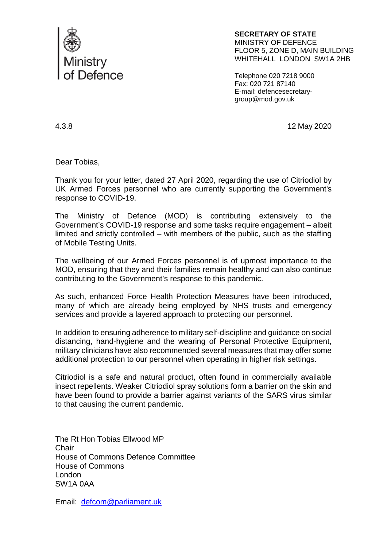

**SECRETARY OF STATE**  MINISTRY OF DEFENCE FLOOR 5, ZONE D, MAIN BUILDING WHITEHALL LONDON SW1A 2HB

Telephone 020 7218 9000 Fax: 020 721 87140 E-mail: defencesecretarygroup@mod.gov.uk

4.3.8 12 May 2020

Dear Tobias,

Thank you for your letter, dated 27 April 2020, regarding the use of Citriodiol by UK Armed Forces personnel who are currently supporting the Government's response to COVID-19.

The Ministry of Defence (MOD) is contributing extensively to the Government's COVID-19 response and some tasks require engagement – albeit limited and strictly controlled – with members of the public, such as the staffing of Mobile Testing Units.

The wellbeing of our Armed Forces personnel is of upmost importance to the MOD, ensuring that they and their families remain healthy and can also continue contributing to the Government's response to this pandemic.

As such, enhanced Force Health Protection Measures have been introduced, many of which are already being employed by NHS trusts and emergency services and provide a layered approach to protecting our personnel.

In addition to ensuring adherence to military self-discipline and guidance on social distancing, hand-hygiene and the wearing of Personal Protective Equipment, military clinicians have also recommended several measures that may offer some additional protection to our personnel when operating in higher risk settings.

Citriodiol is a safe and natural product, often found in commercially available insect repellents. Weaker Citriodiol spray solutions form a barrier on the skin and have been found to provide a barrier against variants of the SARS virus similar to that causing the current pandemic.

The Rt Hon Tobias Ellwood MP **Chair** House of Commons Defence Committee House of Commons London SW1A 0AA

Email: [defcom@parliament.uk](mailto:defcom@parliament.uk)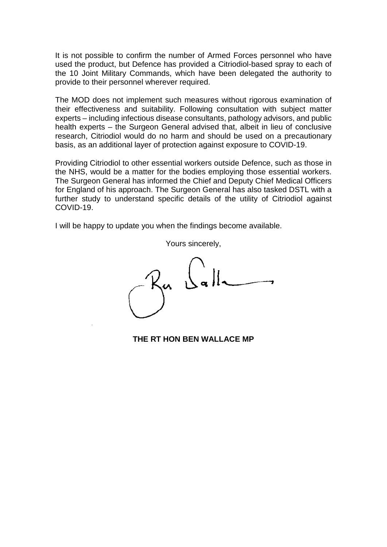It is not possible to confirm the number of Armed Forces personnel who have used the product, but Defence has provided a Citriodiol-based spray to each of the 10 Joint Military Commands, which have been delegated the authority to provide to their personnel wherever required.

The MOD does not implement such measures without rigorous examination of their effectiveness and suitability. Following consultation with subject matter experts – including infectious disease consultants, pathology advisors, and public health experts – the Surgeon General advised that, albeit in lieu of conclusive research, Citriodiol would do no harm and should be used on a precautionary basis, as an additional layer of protection against exposure to COVID-19.

Providing Citriodiol to other essential workers outside Defence, such as those in the NHS, would be a matter for the bodies employing those essential workers. The Surgeon General has informed the Chief and Deputy Chief Medical Officers for England of his approach. The Surgeon General has also tasked DSTL with a further study to understand specific details of the utility of Citriodiol against COVID-19.

I will be happy to update you when the findings become available.

Yours sincerely,

**THE RT HON BEN WALLACE MP**